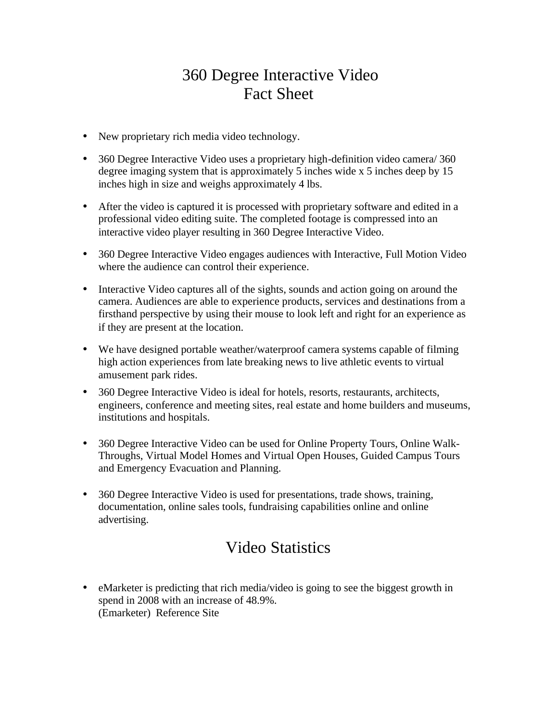## 360 Degree Interactive Video Fact Sheet

- New proprietary rich media video technology.
- 360 Degree Interactive Video uses a proprietary high-definition video camera/ 360 degree imaging system that is approximately 5 inches wide x 5 inches deep by 15 inches high in size and weighs approximately 4 lbs.
- After the video is captured it is processed with proprietary software and edited in a professional video editing suite. The completed footage is compressed into an interactive video player resulting in 360 Degree Interactive Video.
- 360 Degree Interactive Video engages audiences with Interactive, Full Motion Video where the audience can control their experience.
- Interactive Video captures all of the sights, sounds and action going on around the camera. Audiences are able to experience products, services and destinations from a firsthand perspective by using their mouse to look left and right for an experience as if they are present at the location.
- We have designed portable weather/waterproof camera systems capable of filming high action experiences from late breaking news to live athletic events to virtual amusement park rides.
- 360 Degree Interactive Video is ideal for hotels, resorts, restaurants, architects, engineers, conference and meeting sites, real estate and home builders and museums, institutions and hospitals.
- 360 Degree Interactive Video can be used for Online Property Tours, Online Walk-Throughs, Virtual Model Homes and Virtual Open Houses, Guided Campus Tours and Emergency Evacuation and Planning.
- 360 Degree Interactive Video is used for presentations, trade shows, training, documentation, online sales tools, fundraising capabilities online and online advertising.

## Video Statistics

• eMarketer is predicting that rich media/video is going to see the biggest growth in spend in 2008 with an increase of 48.9%. [\(Emarketer\) Reference Site](http://blog.milestoneinternet.com/e-travel-insights/where-are-you-spending-in-2008-rich-media-video-leads-in-growth-for-2008/)